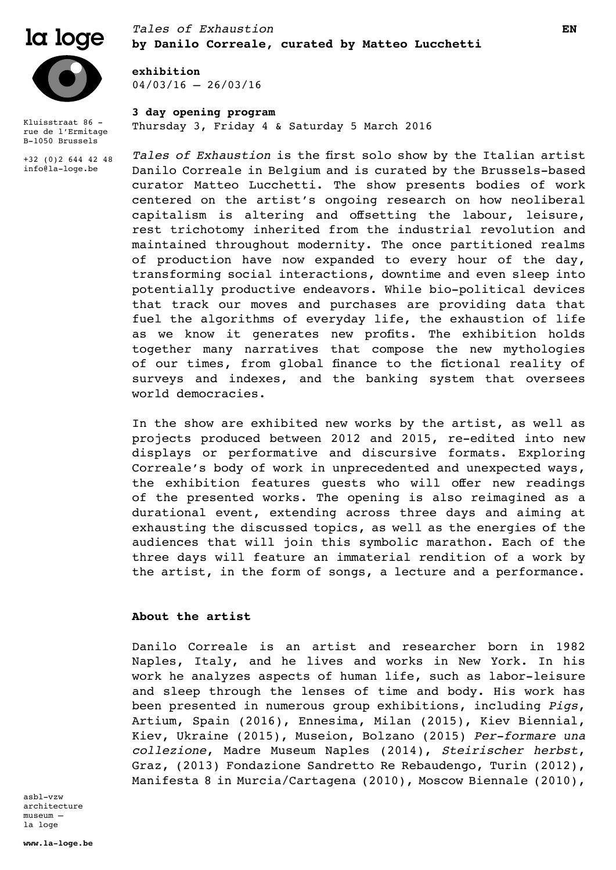

Kluisstraat 86 rue de l'Ermitage B-1050 Brussels

+32 (0)2 644 42 48 info@la-loge.be

# *Tales of Exhaustion*  $\bf{log}$   $\bf{log}$   $\bf{log}$   $\bf{log}$   $\bf{log}$   $\bf{log}$   $\bf{log}$   $\bf{log}$   $\bf{log}$   $\bf{log}$   $\bf{log}$   $\bf{log}$   $\bf{log}$   $\bf{log}$   $\bf{log}$   $\bf{log}$   $\bf{log}$   $\bf{log}$   $\bf{log}$   $\bf{log}$   $\bf{log}$   $\bf{log}$   $\bf{log}$   $\bf{log}$   $\bf{log}$   $\bf{log}$   $\bf{log}$   $\bf{log}$

**exhibition**  $04/03/16 - 26/03/16$ 

# **3 day opening program**

Thursday 3, Friday 4 & Saturday 5 March 2016

*Tales of Exhaustion* is the first solo show by the Italian artist Danilo Correale in Belgium and is curated by the Brussels-based curator Matteo Lucchetti. The show presents bodies of work centered on the artist's ongoing research on how neoliberal capitalism is altering and offsetting the labour, leisure, rest trichotomy inherited from the industrial revolution and maintained throughout modernity. The once partitioned realms of production have now expanded to every hour of the day, transforming social interactions, downtime and even sleep into potentially productive endeavors. While bio-political devices that track our moves and purchases are providing data that fuel the algorithms of everyday life, the exhaustion of life as we know it generates new profits. The exhibition holds together many narratives that compose the new mythologies of our times, from global finance to the fictional reality of surveys and indexes, and the banking system that oversees world democracies.

In the show are exhibited new works by the artist, as well as projects produced between 2012 and 2015, re-edited into new displays or performative and discursive formats. Exploring Correale's body of work in unprecedented and unexpected ways, the exhibition features guests who will offer new readings of the presented works. The opening is also reimagined as a durational event, extending across three days and aiming at exhausting the discussed topics, as well as the energies of the audiences that will join this symbolic marathon. Each of the three days will feature an immaterial rendition of a work by the artist, in the form of songs, a lecture and a performance.

## **About the artist**

Danilo Correale is an artist and researcher born in 1982 Naples, Italy, and he lives and works in New York. In his work he analyzes aspects of human life, such as labor-leisure and sleep through the lenses of time and body. His work has been presented in numerous group exhibitions, including *Pigs*, Artium, Spain (2016), Ennesima, Milan (2015), Kiev Biennial, Kiev, Ukraine (2015), Museion, Bolzano (2015) *Per-formare una collezione*, Madre Museum Naples (2014), *Steirischer herbst*, Graz, (2013) Fondazione Sandretto Re Rebaudengo, Turin (2012), Manifesta 8 in Murcia/Cartagena (2010), Moscow Biennale (2010),

asbl-vzw architecture museum – la loge